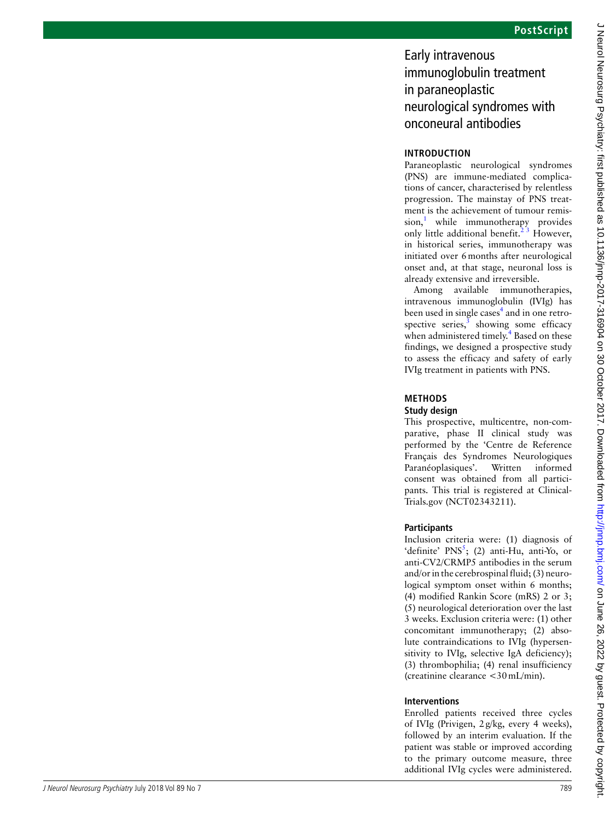# Early intravenous immunoglobulin treatment in paraneoplastic neurological syndromes with onconeural antibodies

# **Introduct ion**

Paraneoplastic neurological syndromes (PNS) are immune-mediated complica tions of cancer, characterised by relentless progression. The mainstay of PNS treat ment is the achievement of tumour remis sion, 1 while immunotherapy provides only little additional benefit.<sup> $2\overline{3}$ </sup> However, in historical series, immunotherapy was initiated over 6months after neurological onset and, at that stage, neuronal loss is already extensive and irreversible.

Among available immunotherapies, intravenous immunoglobulin (IVIg) has been used in single cases<sup>4</sup> and in one retrospective series, $3$  showing some efficacy when administered timely.<sup>4</sup> Based on these findings, we designed a prospective study to assess the efficacy and safety of early IVIg treatment in patients with PNS.

### **Met hods Study design**

This prospective, multicentre, non-com parative, phase II clinical study was performed by the 'Centre de Reference Français des Syndromes Neurologiques Paranéoplasiques'. Written informed consent was obtained from all partici pants. This trial is registered at Clinical - Trials.gov (NCT02343211).

# **Participants**

**Facty introduces)**<br> **Early introduces)**<br> **Intermediately intermediately intermediately intermediately intermediately intermediately intermediately intermediately intermediately intermediately intermediately intermediatel** Inclusion criteria were: (1) diagnosis of 'definite'  $PNS<sup>5</sup>$ ; (2) anti-Hu, anti-Yo, or anti-CV2/CRMP5 antibodies in the serum and/or in the cerebrospinal fluid; (3) neuro logical symptom onset within 6 months; (4) modified Rankin Score (mRS) 2 or 3; (5) neurological deterioration over the last 3 weeks. Exclusion criteria were: (1) other concomitant immunotherapy; (2) abso lute contraindications to IVIg (hypersen sitivity to IVIg, selective IgA deficiency); (3) thrombophilia; (4) renal insufficiency (creatinine clearance <30mL/min).

### **Interventions**

Enrolled patients received three cycles of IVIg (Privigen, 2g/kg, every 4 weeks), followed by an interim evaluation. If the patient was stable or improved according to the primary outcome measure, three additional IVIg cycles were administered.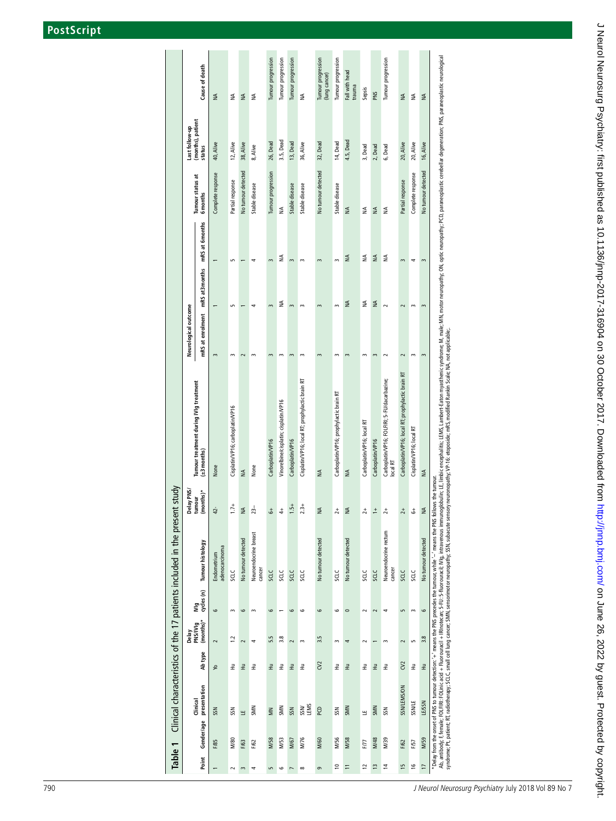|                |                                |                          | Clinical characteristics of the 17 patients included in the present study |                                   |                                                          |                      |                          |                          |                    |                                     |                                     |
|----------------|--------------------------------|--------------------------|---------------------------------------------------------------------------|-----------------------------------|----------------------------------------------------------|----------------------|--------------------------|--------------------------|--------------------|-------------------------------------|-------------------------------------|
|                | Delay<br>PNS/IVIg<br>(months)* |                          |                                                                           | Delay PNS/<br>tumour<br>(months)* | Tumour treatment during IVIg treatment                   | Neurological outcome |                          |                          | Tumour status at   | Last follow-up<br>(months), patient |                                     |
|                | Ab type                        | Wig<br>cycles (n)        | Tumour histology                                                          |                                   | $(\pm 3$ months)                                         | mRS at enrolment     | mRS at3 months           | mRS at 6 months          | Gmonths            | status                              | Cause of death                      |
|                | $\sim$                         | $\circ$                  | adenocarcinoma<br>Endometrium                                             | $42-$                             | None                                                     | $\sim$               |                          | $\overline{\phantom{0}}$ | Complete response  | 40, Alive                           | ₹                                   |
|                | $\ddot{ }$                     | $\sim$                   | SCLC                                                                      | $1.7 +$                           | Cisplatin/VP16; carboplatin/VP16                         | $\sim$               | S                        | S                        | Partial response   | 12, Alive                           | ₹                                   |
|                | $\sim$                         | $\mathbf \circ$          | No tumour detected                                                        | $\lessgtr$                        | $\leq$                                                   | $\sim$               | $\overline{\phantom{m}}$ | $\overline{\phantom{0}}$ | No tumour detected | 38, Alive                           | $\leq$                              |
| 로              | $\overline{\phantom{a}}$       | $\sim$                   | Neuroendo crine breast<br>cancer                                          | $23 -$                            | None                                                     | $\sim$               | $\blacktriangleleft$     | $\blacktriangleleft$     | Stable disease     | 8, Alive                            | ₹                                   |
| $\vec{x}$      | 5.5                            | $\circ$                  | SCLC                                                                      | $\stackrel{+}{\circ}$             | Carboplatin/VP16                                         | $\sim$               | $\sim$                   | $\sim$                   | Tumour progression | 26, Dead                            | Tumour progression                  |
| $\vec{\Xi}$    | $3.8$                          | $\overline{\phantom{0}}$ | SCLC                                                                      | $\ddagger$                        | Vinorelbine/cisplatin; cisplatin/VP16                    | $\sim$               | $\leq$                   | ₹                        | ₹                  | 3.5, Dead                           | Tumour progression                  |
| $\vec{x}$      | $\sim$                         | $\circ$                  | SCLC                                                                      | $1.5 +$                           | Carboplatin/VP16                                         | $\,$ $\,$            | $\sim$                   | $\sim$                   | Stable disease     | 13, Dead                            | Tumour progression                  |
| E              | $\sim$                         | $\circ$                  | SCLC                                                                      | $2.3 +$                           | Cisplatin/VP16; local RT; prophylactic brain RT          | $\sim$               | $\sim$                   | $\sim$                   | Stable disease     | 36, Alive                           | $\lessgtr$                          |
| C <sub>2</sub> | 3.5                            | $\circ$                  | No tumour detected                                                        | $\leq$                            | $\lessgtr$                                               | $\sim$               | $\sim$                   | $\sim$                   | No tumour detected | 32, Dead                            | Tumour progression<br>(lung cancer) |
| 로              | $\sim$                         | $\circ$                  | <b>SCLC</b>                                                               | $\overline{c}$                    | Carboplatin/VP16; prophylactic brain RT                  | $\sim$               | $\sim$                   | $\sim$                   | Stable disease     | 14, Dead                            | Tumour progression                  |
| $\vec{=}$      | $\blacktriangleleft$           | $\circ$                  | No tumour detected                                                        | $\leq$                            | $\lessgtr$                                               | $\,$ $\,$            | $\leq$                   | $\lessgtr$               | $\lessgtr$         | 4.5, Dead                           | Fall with head<br>trauma            |
| 로              | $\sim$                         | $\sim$                   | SCLC                                                                      | $\overline{a}$                    | Carboplatin/VP16; local RT                               | $\sim$               | ₹                        | ₹                        | ₹                  | 3, Dead                             | Sepsis                              |
| $\vec{\Xi}$    | $\overline{\phantom{0}}$       | $\sim$                   | SCLC                                                                      | $\stackrel{+}{\text{-}}$          | Carboplatin/VP16                                         | $\sim$               | $\leq$                   | $\lessgtr$               | $\leq$             | 2, Dead                             | PNS                                 |
| $\vec{z}$      | $\sim$                         | 4                        | Neuroendo crine rectum<br>cancer                                          | $2+$                              | Carboplatin/VP16; FOLFIRI; 5-FU/dacarbazine;<br>local RT | $\sim$               | $\sim$                   | յ≨                       | ₹                  | 6, Dead                             | Tumour progression                  |
| $\rm C2$       | $\sim$                         | $\mathsf{L}$             | SCLC                                                                      | $\overline{c}$                    | Carboplatin/VP16; local RT; prophylactic brain RT        | $\sim$               | $\sim$                   | $\sim$                   | Partial response   | 20, Alive                           | ₹                                   |
| $\vec{\Xi}$    | S                              | $\sim$                   | SCLC                                                                      | $\stackrel{+}{\circ}$             | Cisplatin/VP16; local RT                                 | $\sim$               | $\,$                     | 4                        | Complete response  | 20, Alive                           | $\leq$                              |
| $\vec{\pm}$    | 3.8                            | $\circ$                  | No tumour detected                                                        | $\lessgtr$                        | $\lessgtr$                                               | $\overline{3}$       | $\overline{3}$           | $\,$ $\,$                | No tumour detected | 16, Alive                           | $\leq$                              |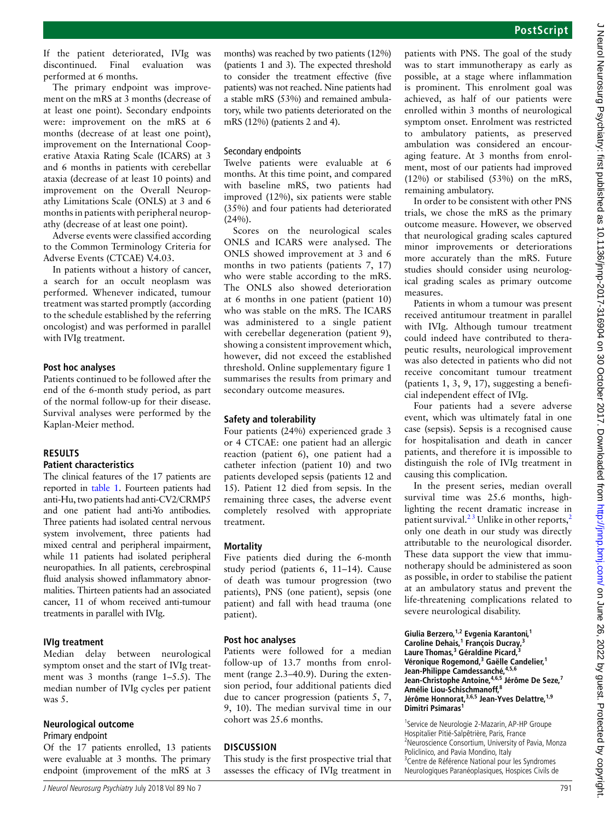If the patient deteriorated, IVIg was discontinued. Final evaluation was performed at 6 months.

The primary endpoint was improvement on the mRS at 3 months (decrease of at least one point). Secondary endpoints were: improvement on the mRS at 6 months (decrease of at least one point), improvement on the International Cooperative Ataxia Rating Scale (ICARS) at 3 and 6 months in patients with cerebellar ataxia (decrease of at least 10 points) and improvement on the Overall Neuropathy Limitations Scale (ONLS) at 3 and 6 months in patients with peripheral neuropathy (decrease of at least one point).

Adverse events were classified according to the Common Terminology Criteria for Adverse Events (CTCAE) V.4.03.

In patients without a history of cancer, a search for an occult neoplasm was performed. Whenever indicated, tumour treatment was started promptly (according to the schedule established by the referring oncologist) and was performed in parallel with IVIg treatment.

#### **Post hoc analyses**

Patients continued to be followed after the end of the 6-month study period, as part of the normal follow-up for their disease. Survival analyses were performed by the Kaplan-Meier method.

# **Results**

#### **Patient characteristics**

The clinical features of the 17 patients are reported in table 1. Fourteen patients had anti-Hu, two patients had anti-CV2/CRMP5 and one patient had anti-Yo antibodies. Three patients had isolated central nervous system involvement, three patients had mixed central and peripheral impairment, while 11 patients had isolated peripheral neuropathies. In all patients, cerebrospinal fluid analysis showed inflammatory abnormalities. Thirteen patients had an associated cancer, 11 of whom received anti-tumour treatments in parallel with IVIg.

#### **IVIg treatment**

Median delay between neurological symptom onset and the start of IVIg treatment was 3 months (range 1–5.5). The median number of IVIg cycles per patient was 5.

#### **Neurological outcome**

#### Primary endpoint

Of the 17 patients enrolled, 13 patients were evaluable at 3 months. The primary endpoint (improvement of the mRS at 3 months) was reached by two patients (12%) (patients 1 and 3). The expected threshold to consider the treatment effective (five patients) was not reached. Nine patients had a stable mRS (53%) and remained ambulatory, while two patients deteriorated on the mRS (12%) (patients 2 and 4).

### Secondary endpoints

Twelve patients were evaluable at 6 months. At this time point, and compared with baseline mRS, two patients had improved (12%), six patients were stable (35%) and four patients had deteriorated  $(24%).$ 

Scores on the neurological scales ONLS and ICARS were analysed. The ONLS showed improvement at 3 and 6 months in two patients (patients 7, 17) who were stable according to the mRS. The ONLS also showed deterioration at 6 months in one patient (patient 10) who was stable on the mRS. The ICARS was administered to a single patient with cerebellar degeneration (patient 9), showing a consistent improvement which, however, did not exceed the established threshold. Online [supplementary figure 1](https://dx.doi.org/10.1136/jnnp-2017-316904)  summarises the results from primary and secondary outcome measures.

#### **Safety and tolerability**

Four patients (24%) experienced grade 3 or 4 CTCAE: one patient had an allergic reaction (patient 6), one patient had a catheter infection (patient 10) and two patients developed sepsis (patients 12 and 15). Patient 12 died from sepsis. In the remaining three cases, the adverse event completely resolved with appropriate treatment.

#### **Mortality**

Five patients died during the 6-month study period (patients 6, 11–14). Cause of death was tumour progression (two patients), PNS (one patient), sepsis (one patient) and fall with head trauma (one patient).

#### **Post hoc analyses**

Patients were followed for a median follow-up of 13.7 months from enrolment (range 2.3–40.9). During the extension period, four additional patients died due to cancer progression (patients 5, 7, 9, 10). The median survival time in our cohort was 25.6 months.

#### **Discussion**

This study is the first prospective trial that assesses the efficacy of IVIg treatment in patients with PNS. The goal of the study was to start immunotherapy as early as possible, at a stage where inflammation is prominent. This enrolment goal was achieved, as half of our patients were enrolled within 3 months of neurological symptom onset. Enrolment was restricted to ambulatory patients, as preserved ambulation was considered an encouraging feature. At 3 months from enrolment, most of our patients had improved (12%) or stabilised (53%) on the mRS, remaining ambulatory.

In order to be consistent with other PNS trials, we chose the mRS as the primary outcome measure. However, we observed that neurological grading scales captured minor improvements or deteriorations more accurately than the mRS. Future studies should consider using neurological grading scales as primary outcome measures.

Patients in whom a tumour was present received antitumour treatment in parallel with IVIg. Although tumour treatment could indeed have contributed to therapeutic results, neurological improvement was also detected in patients who did not receive concomitant tumour treatment (patients 1, 3, 9, 17), suggesting a beneficial independent effect of IVIg.

Four patients had a severe adverse event, which was ultimately fatal in one case (sepsis). Sepsis is a recognised cause for hospitalisation and death in cancer patients, and therefore it is impossible to distinguish the role of IVIg treatment in causing this complication.

In the present series, median overall survival time was 25.6 months, highlighting the recent dramatic increase in patient survival.<sup>23</sup> Unlike in other reports,<sup>2</sup> only one death in our study was directly attributable to the neurological disorder. These data support the view that immunotherapy should be administered as soon as possible, in order to stabilise the patient at an ambulatory status and prevent the life-threatening complications related to severe neurological disability.

**Giulia Berzero,1,2 Evgenia Karantoni,<sup>1</sup> Caroline Dehais,1 François Ducray,<sup>3</sup> Laure Thomas,3 Géraldine Picard,<sup>3</sup>** Véronique Rogemond,<sup>3</sup> Gaëlle Candelier,<sup>1</sup> Jean-Philippe Camdessanché, <sup>4,5,6</sup> **Jean-Christophe Antoine,4,6,5 Jérôme De Seze,7 Amélie Liou-Schischmanoff,<sup>8</sup> Jérôme Honnorat,3,6,5 Jean-Yves Delattre,1,9 Dimitri Psimaras<sup>1</sup>**

<sup>1</sup>Service de Neurologie 2-Mazarin, AP-HP Groupe Hospitalier Pitié-Salpêtrière, Paris, France <sup>2</sup> <sup>2</sup> Neuroscience Consortium, University of Pavia, Monza Policlinico, and Pavia Mondino, Italy <sup>3</sup> Centre de Référence National pour les Syndromes Neurologiques Paranéoplasiques, Hospices Civils de